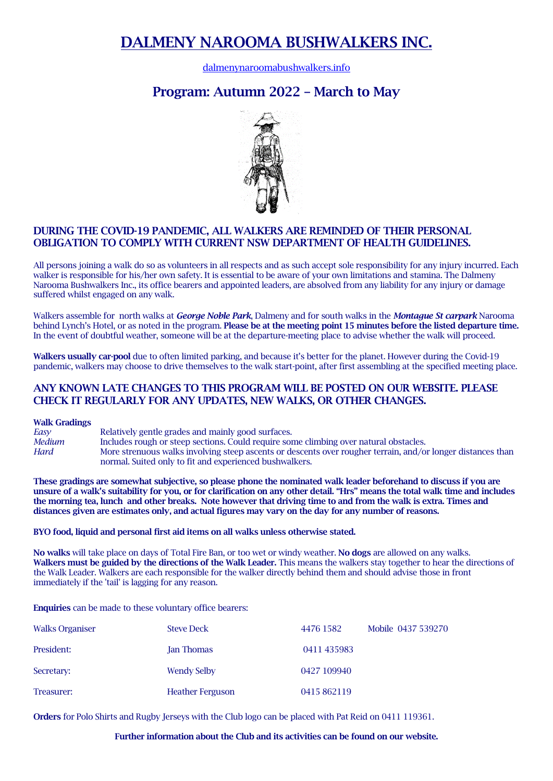# **DALMENY NAROOMA BUSHWALKERS INC.**

[dalmenynaroomabushwalkers.info](https://www.dalmenynaroomabushwalkers.info/)

## **Program: Autumn 2022 – March to May**



### **DURING THE COVID-19 PANDEMIC, ALL WALKERS ARE REMINDED OF THEIR PERSONAL OBLIGATION TO COMPLY WITH CURRENT NSW DEPARTMENT OF HEALTH GUIDELINES.**

All persons joining a walk do so as volunteers in all respects and as such accept sole responsibility for any injury incurred. Each walker is responsible for his/her own safety. It is essential to be aware of your own limitations and stamina. The Dalmeny Narooma Bushwalkers Inc., its office bearers and appointed leaders, are absolved from any liability for any injury or damage suffered whilst engaged on any walk.

Walkers assemble for north walks at *George Noble Park*, Dalmeny and for south walks in the *Montague St carpark* Narooma behind Lynch's Hotel, or as noted in the program. **Please be at the meeting point 15 minutes before the listed departure time.**  In the event of doubtful weather, someone will be at the departure-meeting place to advise whether the walk will proceed.

**Walkers usually car-pool** due to often limited parking, and because it's better for the planet. However during the Covid-19 pandemic, walkers may choose to drive themselves to the walk start-point, after first assembling at the specified meeting place.

#### **ANY KNOWN LATE CHANGES TO THIS PROGRAM WILL BE POSTED ON OUR WEBSITE. PLEASE CHECK IT REGULARLY FOR ANY UPDATES, NEW WALKS, OR OTHER CHANGES.**

**Walk Gradings**

*Easy* Relatively gentle grades and mainly good surfaces. *Medium* Includes rough or steep sections. Could require some climbing over natural obstacles. *Hard* More strenuous walks involving steep ascents or descents over rougher terrain, and/or longer distances than normal. Suited only to fit and experienced bushwalkers.

**These gradings are somewhat subjective, so please phone the nominated walk leader beforehand to discuss if you are unsure of a walk's suitability for you, or for clarification on any other detail. "Hrs" means the total walk time and includes the morning tea, lunch and other breaks. Note however that driving time to and from the walk is extra. Times and distances given are estimates only, and actual figures may vary on the day for any number of reasons.**

**BYO food, liquid and personal first aid items on all walks unless otherwise stated.**

**No walks** will take place on days of Total Fire Ban, or too wet or windy weather. **No dogs** are allowed on any walks. **Walkers must be guided by the directions of the Walk Leader.** This means the walkers stay together to hear the directions of the Walk Leader. Walkers are each responsible for the walker directly behind them and should advise those in front immediately if the 'tail' is lagging for any reason.

**Enquiries** can be made to these voluntary office bearers:

| <b>Walks Organiser</b> | <b>Steve Deck</b>       | 4476 1582   | Mobile 0437 539270 |
|------------------------|-------------------------|-------------|--------------------|
| President:             | <b>Jan Thomas</b>       | 0411 435983 |                    |
| Secretary:             | <b>Wendy Selby</b>      | 0427 109940 |                    |
| Treasurer:             | <b>Heather Ferguson</b> | 0415 862119 |                    |

**Orders** for Polo Shirts and Rugby Jerseys with the Club logo can be placed with Pat Reid on 0411 119361.

#### **Further information about the Club and its activities can be found on our website.**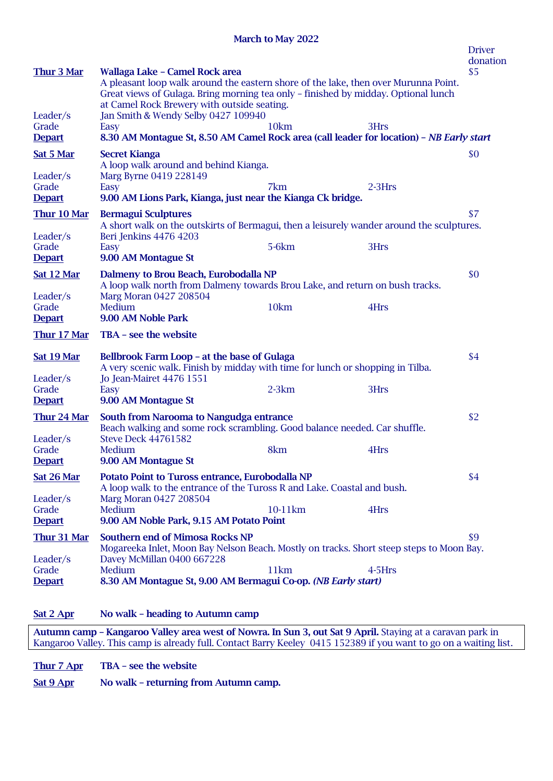**March to May 2022**

|                                    |                                                                                                                                                                                                                                                            |                  |           | <b>Driver</b><br>donation |
|------------------------------------|------------------------------------------------------------------------------------------------------------------------------------------------------------------------------------------------------------------------------------------------------------|------------------|-----------|---------------------------|
| Thur 3 Mar                         | Wallaga Lake - Camel Rock area<br>A pleasant loop walk around the eastern shore of the lake, then over Murunna Point.<br>Great views of Gulaga. Bring morning tea only - finished by midday. Optional lunch<br>at Camel Rock Brewery with outside seating. |                  |           | \$5                       |
| Leader/s<br>Grade                  | Jan Smith & Wendy Selby 0427 109940                                                                                                                                                                                                                        | 10km             |           |                           |
| <b>Depart</b>                      | Easy<br>8.30 AM Montague St, 8.50 AM Camel Rock area (call leader for location) - NB Early start                                                                                                                                                           |                  | 3Hrs      |                           |
| <b>Sat 5 Mar</b>                   | <b>Secret Kianga</b><br>A loop walk around and behind Kianga.                                                                                                                                                                                              |                  |           | \$0                       |
| Leader/s                           | Marg Byrne 0419 228149                                                                                                                                                                                                                                     |                  |           |                           |
| Grade<br><b>Depart</b>             | Easy<br>9.00 AM Lions Park, Kianga, just near the Kianga Ck bridge.                                                                                                                                                                                        | 7km              | $2-3Hrs$  |                           |
| Thur 10 Mar                        | <b>Bermagui Sculptures</b>                                                                                                                                                                                                                                 |                  |           | \$7                       |
| Leader/s                           | A short walk on the outskirts of Bermagui, then a leisurely wander around the sculptures.<br>Beri Jenkins 4476 4203                                                                                                                                        |                  |           |                           |
| Grade<br><b>Depart</b>             | Easy<br>9.00 AM Montague St                                                                                                                                                                                                                                | $5-6km$          | 3Hrs      |                           |
| <b>Sat 12 Mar</b>                  | Dalmeny to Brou Beach, Eurobodalla NP<br>A loop walk north from Dalmeny towards Brou Lake, and return on bush tracks.                                                                                                                                      |                  |           | \$0                       |
| Leader/s<br>Grade                  | Marg Moran 0427 208504<br>Medium                                                                                                                                                                                                                           | 10km             | 4Hrs      |                           |
| <b>Depart</b>                      | 9.00 AM Noble Park                                                                                                                                                                                                                                         |                  |           |                           |
| <b>Thur 17 Mar</b>                 | TBA - see the website                                                                                                                                                                                                                                      |                  |           |                           |
| Sat 19 Mar<br>Leader/s             | Bellbrook Farm Loop - at the base of Gulaga<br>A very scenic walk. Finish by midday with time for lunch or shopping in Tilba.<br>Jo Jean-Mairet 4476 1551                                                                                                  |                  |           | \$4                       |
| Grade<br><b>Depart</b>             | Easy<br>9.00 AM Montague St                                                                                                                                                                                                                                | $2-3km$          | 3Hrs      |                           |
| Thur 24 Mar                        | South from Narooma to Nangudga entrance<br>Beach walking and some rock scrambling. Good balance needed. Car shuffle.                                                                                                                                       |                  |           | \$2                       |
| Leader/s<br>Grade<br><b>Depart</b> | <b>Steve Deck 44761582</b><br>Medium<br>9.00 AM Montague St                                                                                                                                                                                                | 8km              | 4Hrs      |                           |
| Sat 26 Mar                         | Potato Point to Tuross entrance, Eurobodalla NP<br>A loop walk to the entrance of the Tuross R and Lake. Coastal and bush.                                                                                                                                 |                  |           | \$4                       |
| Leader/s<br>Grade<br><b>Depart</b> | Marg Moran 0427 208504<br>Medium<br>9.00 AM Noble Park, 9.15 AM Potato Point                                                                                                                                                                               | 10-11km          | 4Hrs      |                           |
| <b>Thur 31 Mar</b>                 | <b>Southern end of Mimosa Rocks NP</b><br>Mogareeka Inlet, Moon Bay Nelson Beach. Mostly on tracks. Short steep steps to Moon Bay.                                                                                                                         |                  |           | \$9                       |
| Leader/s                           | Davey McMillan 0400 667228                                                                                                                                                                                                                                 |                  |           |                           |
| Grade<br><b>Depart</b>             | Medium<br>8.30 AM Montague St, 9.00 AM Bermagui Co-op. (NB Early start)                                                                                                                                                                                    | 11 <sub>km</sub> | $4-5$ Hrs |                           |
|                                    |                                                                                                                                                                                                                                                            |                  |           |                           |

**Sat 2 Apr No walk – heading to Autumn camp**

**Autumn camp – Kangaroo Valley area west of Nowra. In Sun 3, out Sat 9 April.** Staying at a caravan park in Kangaroo Valley. This camp is already full. Contact Barry Keeley 0415 152389 if you want to go on a waiting list.

**Thur 7 Apr TBA – see the website**

**Sat 9 Apr No walk – returning from Autumn camp.**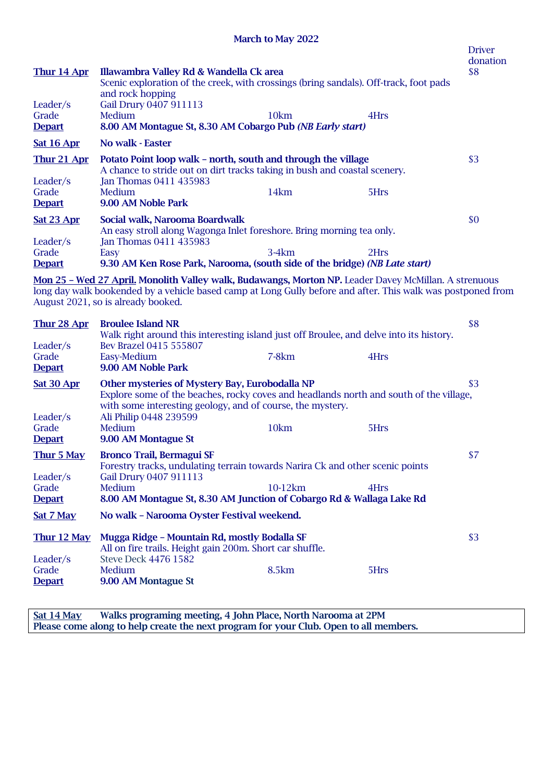### **March to May 2022**

| Thur 14 Apr                        | Illawambra Valley Rd & Wandella Ck area<br>Scenic exploration of the creek, with crossings (bring sandals). Off-track, foot pads                                                                                                                            |         |      | <b>Driver</b><br>donation<br>\$8 |
|------------------------------------|-------------------------------------------------------------------------------------------------------------------------------------------------------------------------------------------------------------------------------------------------------------|---------|------|----------------------------------|
| Leader/s<br>Grade<br><b>Depart</b> | and rock hopping<br>Gail Drury 0407 911113<br>10km<br>Medium<br>8.00 AM Montague St, 8.30 AM Cobargo Pub (NB Early start)                                                                                                                                   |         | 4Hrs |                                  |
| <b>Sat 16 Apr</b>                  | No walk - Easter                                                                                                                                                                                                                                            |         |      |                                  |
| Thur 21 Apr<br>Leader/s            | Potato Point loop walk - north, south and through the village<br>A chance to stride out on dirt tracks taking in bush and coastal scenery.<br>Jan Thomas 0411 435983                                                                                        |         |      | \$3                              |
| Grade<br><b>Depart</b>             | 14km<br>Medium<br>9.00 AM Noble Park                                                                                                                                                                                                                        |         | 5Hrs |                                  |
| <b>Sat 23 Apr</b><br>Leader/s      | Social walk, Narooma Boardwalk<br>An easy stroll along Wagonga Inlet foreshore. Bring morning tea only.<br>Jan Thomas 0411 435983                                                                                                                           |         |      | \$0                              |
| Grade<br><b>Depart</b>             | $3-4km$<br>Easy<br>9.30 AM Ken Rose Park, Narooma, (south side of the bridge) (NB Late start)                                                                                                                                                               |         | 2Hrs |                                  |
|                                    | Mon 25 - Wed 27 April. Monolith Valley walk, Budawangs, Morton NP. Leader Davey McMillan. A strenuous<br>long day walk bookended by a vehicle based camp at Long Gully before and after. This walk was postponed from<br>August 2021, so is already booked. |         |      |                                  |
| Thur 28 Apr<br>Leader/s            | <b>Broulee Island NR</b><br>Walk right around this interesting island just off Broulee, and delve into its history.<br>Bev Brazel 0415 555807                                                                                                               |         |      | \$8                              |
| Grade<br><b>Depart</b>             | $7-8km$<br>Easy-Medium<br>9.00 AM Noble Park                                                                                                                                                                                                                |         | 4Hrs |                                  |
| <b>Sat 30 Apr</b><br>Leader/s      | Other mysteries of Mystery Bay, Eurobodalla NP<br>Explore some of the beaches, rocky coves and headlands north and south of the village,<br>with some interesting geology, and of course, the mystery.<br>Ali Philip 0448 239599                            |         |      | \$3                              |
| Grade<br><b>Depart</b>             | 10km<br>Medium<br>9.00 AM Montague St                                                                                                                                                                                                                       |         | 5Hrs |                                  |
| Thur 5 May<br>Leader/s             | <b>Bronco Trail, Bermagui SF</b><br>Forestry tracks, undulating terrain towards Narira Ck and other scenic points                                                                                                                                           |         |      | \$7                              |
| Grade<br><b>Depart</b>             | Gail Drury 0407 911113<br>Medium<br>8.00 AM Montague St, 8.30 AM Junction of Cobargo Rd & Wallaga Lake Rd                                                                                                                                                   | 10-12km | 4Hrs |                                  |
| Sat 7 May                          | No walk - Narooma Oyster Festival weekend.                                                                                                                                                                                                                  |         |      |                                  |
| Thur 12 May                        | Mugga Ridge - Mountain Rd, mostly Bodalla SF<br>All on fire trails. Height gain 200m. Short car shuffle.                                                                                                                                                    |         |      | \$3                              |
| Leader/s<br>Grade<br><b>Depart</b> | <b>Steve Deck 4476 1582</b><br>8.5km<br>Medium<br>9.00 AM Montague St                                                                                                                                                                                       |         | 5Hrs |                                  |

**Sat 14 May Walks programing meeting, 4 John Place, North Narooma at 2PM Please come along to help create the next program for your Club. Open to all members.**